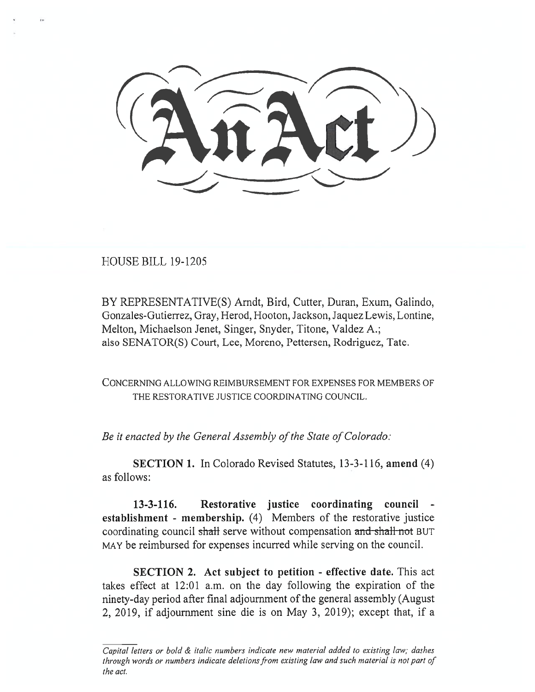HOUSE BILL 19-1205

BY REPRESENTATIVE(S) Arndt, Bird, Cutter, Duran, Exum, Galindo, Gonzales-Gutierrez, Gray, Herod, Hooton, Jackson, Jaquez Lewis, Lontine, Melton, Michaelson Jenet, Singer, Snyder, Titone, Valdez A.; also SENATOR(S) Court, Lee, Moreno, Pettersen, Rodriguez, Tate.

CONCERNING ALLOWING REIMBURSEMENT FOR EXPENSES FOR MEMBERS OF THE RESTORATIVE JUSTICE COORDINATING COUNCIL.

*Be it enacted by the General Assembly of the State of Colorado:* 

**SECTION 1.** In Colorado Revised Statutes, 13-3-116, **amend** (4) as follows:

**13-3-116. Restorative justice coordinating council establishment - membership.** (4) Members of the restorative justice coordinating council shall serve without compensation and shall not BUT MAY be reimbursed for expenses incurred while serving on the council.

**SECTION 2. Act subject to petition - effective date.** This act takes effect at 12:01 a.m. on the day following the expiration of the ninety-day period after final adjournment of the general assembly (August 2, 2019, if adjournment sine die is on May 3, 2019); except that, if a

*Capital letters or bold & italic numbers indicate new material added to existing law; dashes through words or numbers indicate deletions from existing law and such material is not part of the act.*